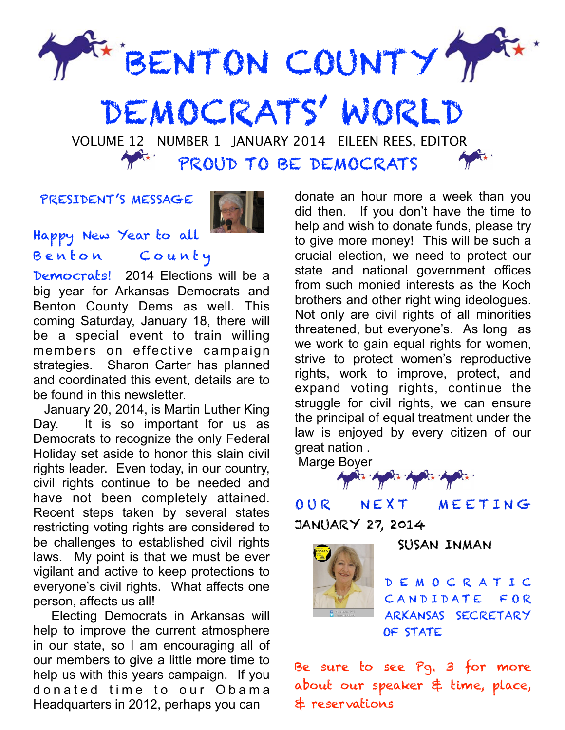

 VOLUME 12 NUMBER 1 JANUARY 2014 EILEEN REES, EDITOR PROUD TO BE DEMOCRATS

## PRESIDENT'S MESSAGE



Happy New Year to all Benton County

Democrats! 2014 Elections will be a big year for Arkansas Democrats and Benton County Dems as well. This coming Saturday, January 18, there will be a special event to train willing members on effective campaign strategies. Sharon Carter has planned and coordinated this event, details are to be found in this newsletter.

 January 20, 2014, is Martin Luther King Day. It is so important for us as Democrats to recognize the only Federal Holiday set aside to honor this slain civil rights leader. Even today, in our country, civil rights continue to be needed and have not been completely attained. Recent steps taken by several states restricting voting rights are considered to be challenges to established civil rights laws. My point is that we must be ever vigilant and active to keep protections to everyone's civil rights. What affects one person, affects us all!

 Electing Democrats in Arkansas will help to improve the current atmosphere in our state, so I am encouraging all of our members to give a little more time to help us with this years campaign. If you donated time to our Obama Headquarters in 2012, perhaps you can

donate an hour more a week than you did then. If you don't have the time to help and wish to donate funds, please try to give more money! This will be such a crucial election, we need to protect our state and national government offices from such monied interests as the Koch brothers and other right wing ideologues. Not only are civil rights of all minorities threatened, but everyone's. As long as we work to gain equal rights for women, strive to protect women's reproductive rights, work to improve, protect, and expand voting rights, continue the struggle for civil rights, we can ensure the principal of equal treatment under the law is enjoyed by every citizen of our great nation .

Marge Boyer

OUR NEXT MEETING JANUARY 27, 2014



SUSAN INMAN

D E M O C R A T I C CANDIDATE FOR ARKANSAS SECRETARY OF STATE

Be sure to see Pg. 3 for more about our speaker & time, place, & reservations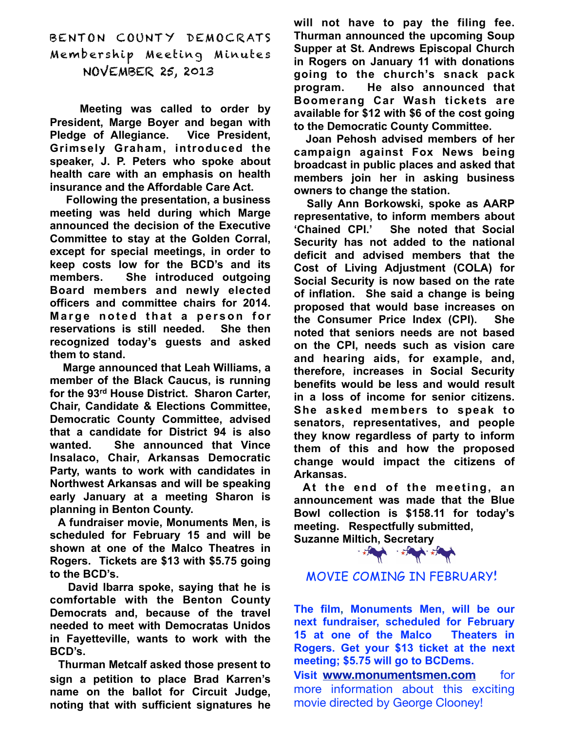BENTON COUNTY DEMOCRATS Membership Meeting Minutes NOVEMBER 25, 2013

**Meeting was called to order by President, Marge Boyer and began with Pledge of Allegiance. Vice President, Grimsely Graham, introduced the speaker, J. P. Peters who spoke about health care with an emphasis on health insurance and the Affordable Care Act.**

**Following the presentation, a business meeting was held during which Marge announced the decision of the Executive Committee to stay at the Golden Corral, except for special meetings, in order to keep costs low for the BCD's and its members. She introduced outgoing Board members and newly elected officers and committee chairs for 2014. Marge noted that a person for reservations is still needed. She then recognized today's guests and asked them to stand.**

**Marge announced that Leah Williams, a member of the Black Caucus, is running for the 93rd House District. Sharon Carter, Chair, Candidate & Elections Committee, Democratic County Committee, advised that a candidate for District 94 is also wanted. She announced that Vince Insalaco, Chair, Arkansas Democratic Party, wants to work with candidates in Northwest Arkansas and will be speaking early January at a meeting Sharon is planning in Benton County.**

**A fundraiser movie, Monuments Men, is scheduled for February 15 and will be shown at one of the Malco Theatres in Rogers. Tickets are \$13 with \$5.75 going to the BCD's.**

**David Ibarra spoke, saying that he is comfortable with the Benton County Democrats and, because of the travel needed to meet with Democratas Unidos in Fayetteville, wants to work with the BCD's.**

**Thurman Metcalf asked those present to sign a petition to place Brad Karren's name on the ballot for Circuit Judge, noting that with sufficient signatures he** **will not have to pay the filing fee. Thurman announced the upcoming Soup Supper at St. Andrews Episcopal Church in Rogers on January 11 with donations going to the church's snack pack program. He also announced that Boomerang Car Wash tickets are available for \$12 with \$6 of the cost going to the Democratic County Committee.**

**Joan Pehosh advised members of her campaign against Fox News being broadcast in public places and asked that members join her in asking business owners to change the station.**

**Sally Ann Borkowski, spoke as AARP representative, to inform members about 'Chained CPI.' She noted that Social Security has not added to the national deficit and advised members that the Cost of Living Adjustment (COLA) for Social Security is now based on the rate of inflation. She said a change is being proposed that would base increases on the Consumer Price Index (CPI). She noted that seniors needs are not based on the CPI, needs such as vision care and hearing aids, for example, and, therefore, increases in Social Security benefits would be less and would result in a loss of income for senior citizens. She asked members to speak to senators, representatives, and people they know regardless of party to inform them of this and how the proposed change would impact the citizens of Arkansas.**

**At the end of the meeting, an announcement was made that the Blue Bowl collection is \$158.11 for today's meeting. Respectfully submitted,**

**Suzanne Miltich, Secretary**

## MOVIE COMING IN FEBRUARY!

**The film, Monuments Men, will be our next fundraiser, scheduled for February 15 at one of the Malco Theaters in Rogers. Get your \$13 ticket at the next meeting; \$5.75 will go to BCDems.**

**Visit [www.monumentsmen.com](http://www.monumentsmen.com)** for more information about this exciting movie directed by George Clooney!